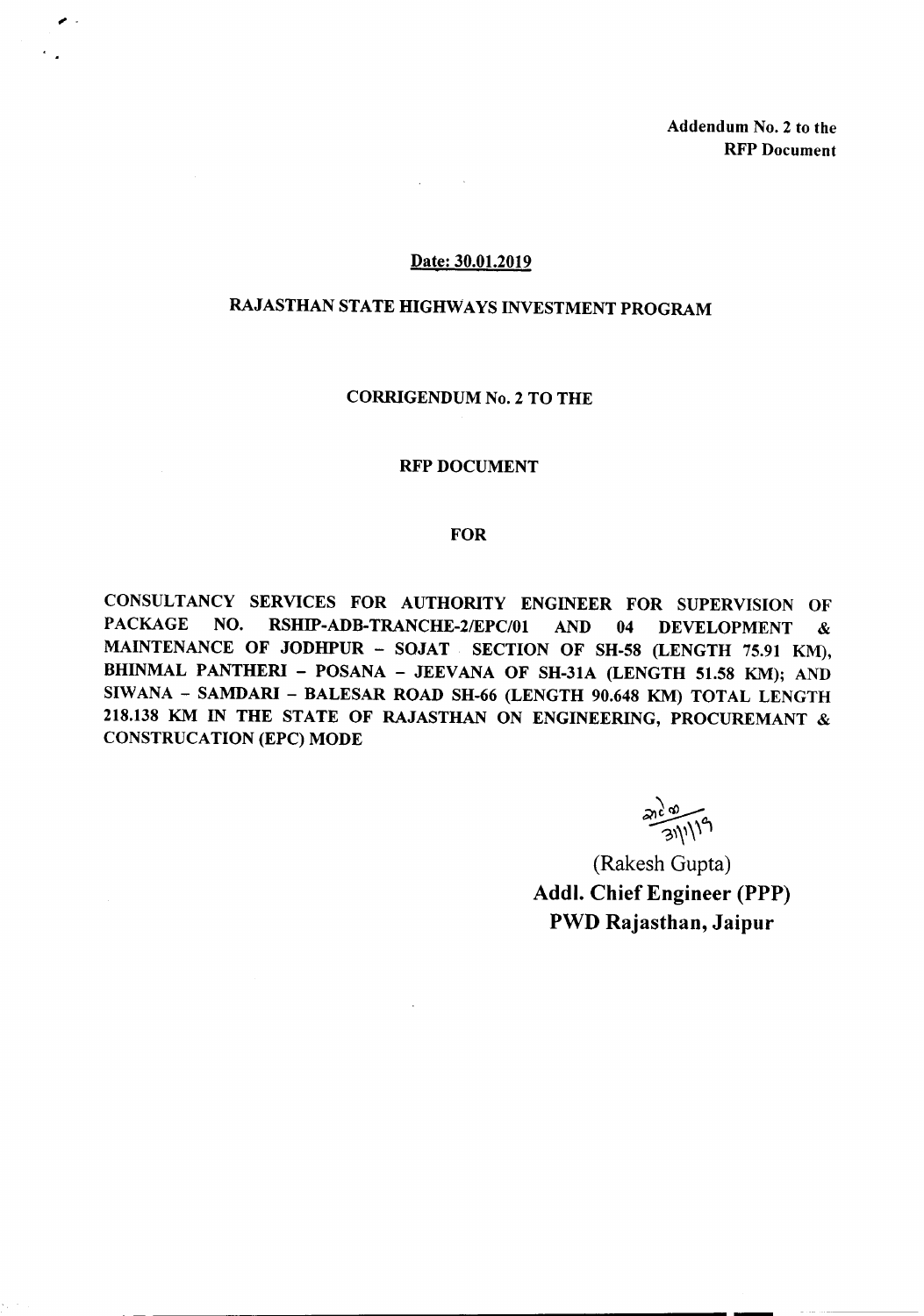Addendum No.2 to the RFP Document

#### Date: 30.01.2019

# RAJASTHAN STATE HIGHWAYS INVESTMENT PROGRAM

#### CORRIGENDUM No.2 TO THE

#### RFP DOCUMENT

## FOR

CONSULTANCY SERVICES FOR AUTHORITY ENGINEER FOR SUPERVISION OF PACKAGE NO. RSHIP-ADB-TRANCHE-2/EPC/01 AND 04 DEVELOPMENT & MAINTENANCE OF JODHPUR - SOJAT SECTION OF SH-58 (LENGTH 75.91 KM), BHINMAL PANTHERI - POSANA - JEEVANA OF SH-31A (LENGTH 51.58 KM); AND SIWANA - SAMDARI - BALESAR ROAD SH-66 (LENGTH 90.648 KM) TOTAL LENGTH 218.138 KM IN THE STATE OF RAJASTHAN ON ENGINEERING, PROCUREMANT & CONSTRUCATION (EPC) MODE

**21/1/19** 

(Rakesh Gupta) Addl. Chief Engineer (PPP) PWD Rajasthan, Jaipur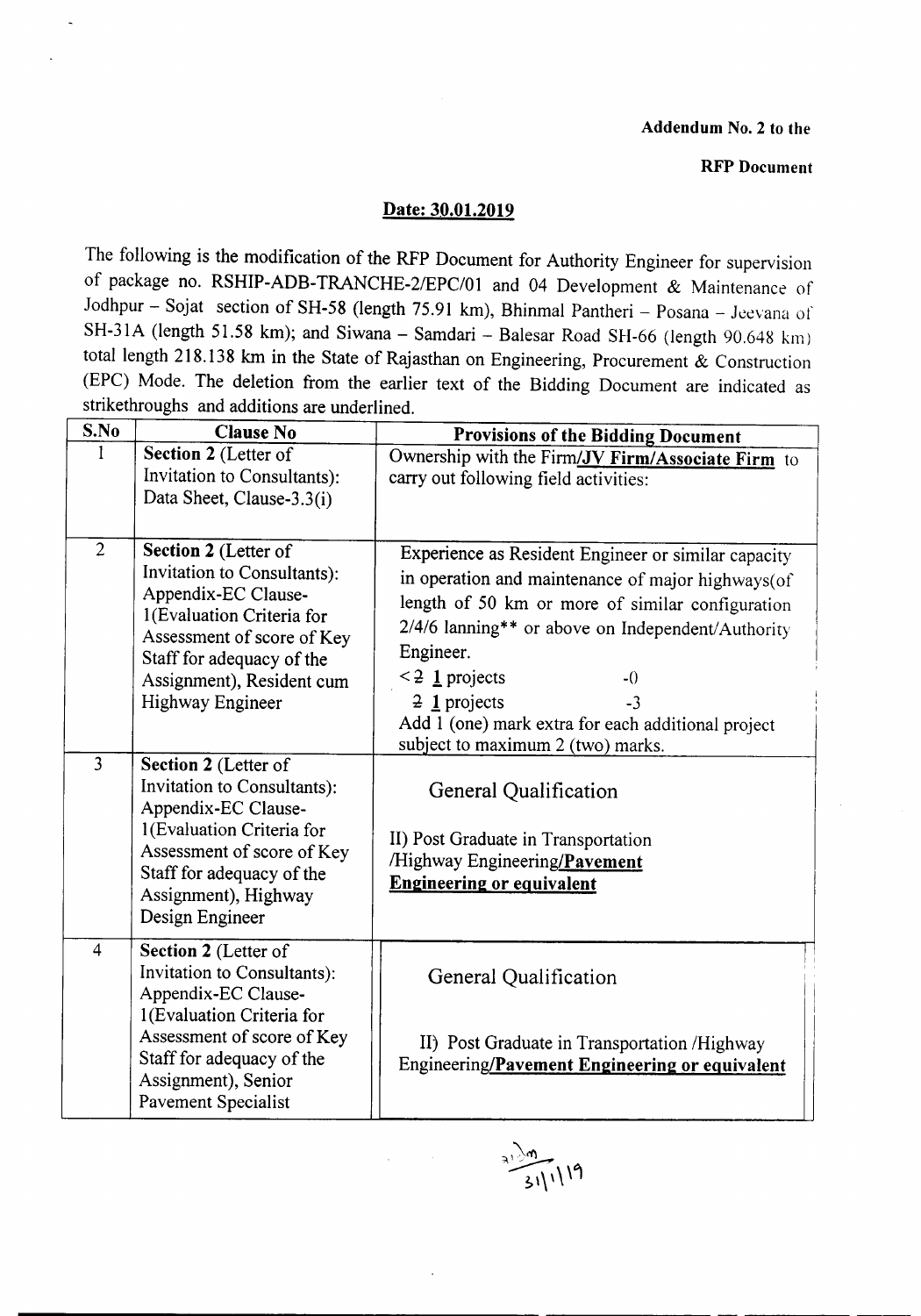## Addendum No.2 to the

## RFP Document

## Date: 30.01.2019

The following is the modification of the RFP Document for Authority Engineer for supervision of package no. RSHIP-ADB-TRANCHE-2IEPC/01 and 04 Development & Maintenance of Jodhpur - Sojat section of SH-58 (length 75.91 km), Bhinmal Pantheri - Posana - Jeevana of SH-31A (length 51.58 km); and Siwana - Samdari - Balesar Road SH-66 (length 90.648 km) total length 218.138 km in the State of Rajasthan on Engineering, Procurement & Construction (EPC) Mode. The deletion from the earlier text of the Bidding Document are indicated as strikethroughs and additions are underlined.

| S.No                             | <b>Clause No</b>                                                                                                                                                                                                                                                                                  | <b>Provisions of the Bidding Document</b>                                                                                                                                                                                                                                                                                                                                                                           |
|----------------------------------|---------------------------------------------------------------------------------------------------------------------------------------------------------------------------------------------------------------------------------------------------------------------------------------------------|---------------------------------------------------------------------------------------------------------------------------------------------------------------------------------------------------------------------------------------------------------------------------------------------------------------------------------------------------------------------------------------------------------------------|
|                                  | Section 2 (Letter of<br>Invitation to Consultants):<br>Data Sheet, Clause-3.3(i)                                                                                                                                                                                                                  | Ownership with the Firm/JV Firm/Associate Firm to<br>carry out following field activities:                                                                                                                                                                                                                                                                                                                          |
| $\overline{2}$<br>$\overline{3}$ | Section 2 (Letter of<br>Invitation to Consultants):<br>Appendix-EC Clause-<br>1(Evaluation Criteria for<br>Assessment of score of Key<br>Staff for adequacy of the<br>Assignment), Resident cum<br>Highway Engineer<br>Section 2 (Letter of<br>Invitation to Consultants):<br>Appendix-EC Clause- | Experience as Resident Engineer or similar capacity<br>in operation and maintenance of major highways(of<br>length of 50 km or more of similar configuration<br>2/4/6 lanning** or above on Independent/Authority<br>Engineer.<br>$\leq$ 2 1 projects<br>$-0$<br>$\frac{1}{2}$ projects<br>$-3$<br>Add 1 (one) mark extra for each additional project<br>subject to maximum 2 (two) marks.<br>General Qualification |
|                                  | 1(Evaluation Criteria for<br>Assessment of score of Key<br>Staff for adequacy of the<br>Assignment), Highway<br>Design Engineer                                                                                                                                                                   | II) Post Graduate in Transportation<br>/Highway Engineering/Pavement<br><b>Engineering or equivalent</b>                                                                                                                                                                                                                                                                                                            |
| $\overline{4}$                   | Section 2 (Letter of<br>Invitation to Consultants):<br>Appendix-EC Clause-<br>1(Evaluation Criteria for<br>Assessment of score of Key<br>Staff for adequacy of the<br>Assignment), Senior<br>Pavement Specialist                                                                                  | General Qualification<br>II) Post Graduate in Transportation /Highway<br>Engineering/Pavement Engineering or equivalent                                                                                                                                                                                                                                                                                             |

 $\frac{1}{311}$ 19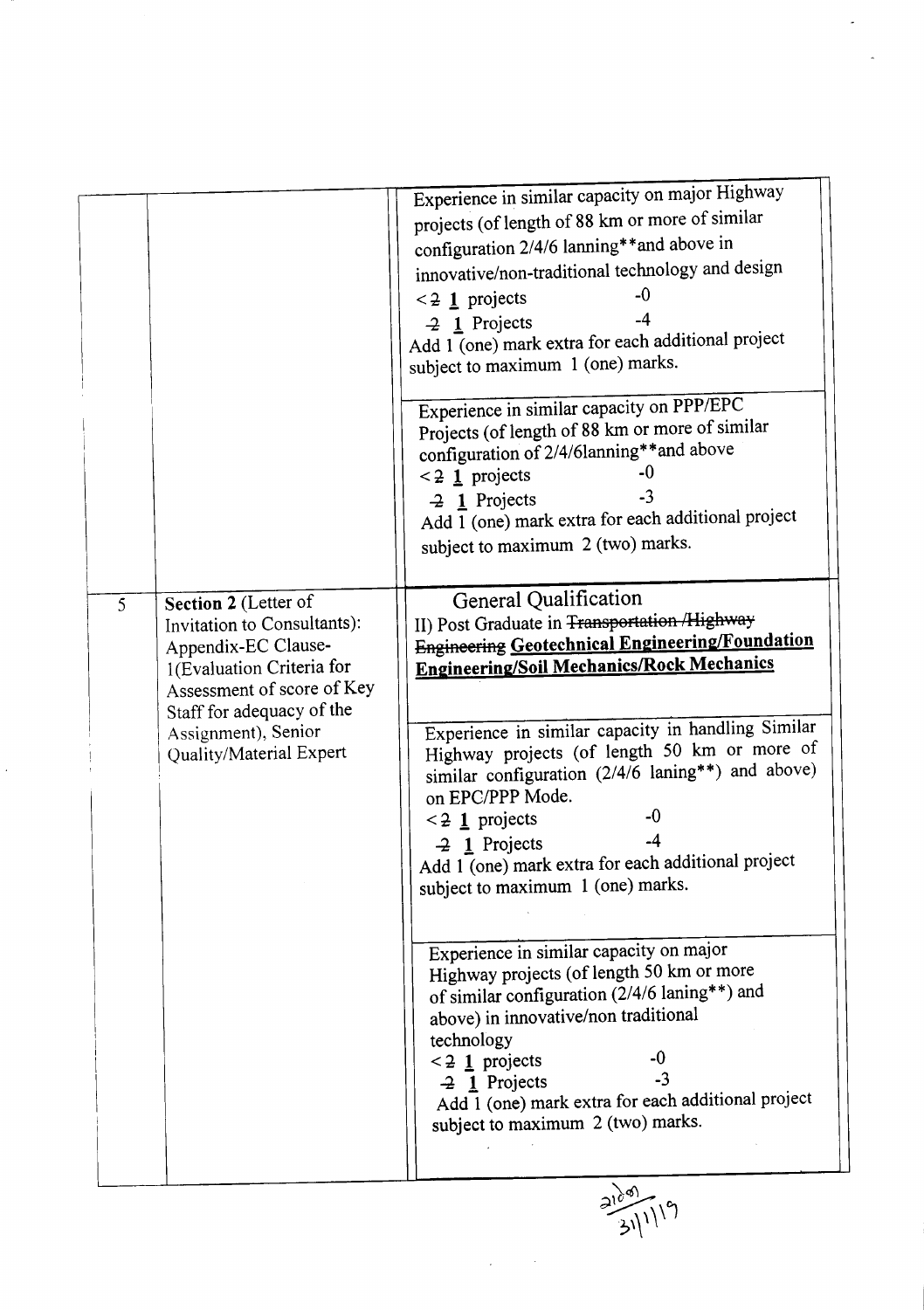|                                                                                                                                                                                                                           | Experience in similar capacity on major Highway<br>projects (of length of 88 km or more of similar<br>configuration 2/4/6 lanning**and above in<br>innovative/non-traditional technology and design<br>$-0$<br>$\leq$ 2 1 projects<br>$\overline{2}$ 1 Projects<br>Add 1 (one) mark extra for each additional project<br>subject to maximum 1 (one) marks.<br>Experience in similar capacity on PPP/EPC<br>Projects (of length of 88 km or more of similar<br>configuration of 2/4/6lanning**and above<br>-0<br>$\leq$ 2 1 projects<br>$-3$<br>$-2$ 1 Projects<br>Add 1 (one) mark extra for each additional project<br>subject to maximum 2 (two) marks. |
|---------------------------------------------------------------------------------------------------------------------------------------------------------------------------------------------------------------------------|-----------------------------------------------------------------------------------------------------------------------------------------------------------------------------------------------------------------------------------------------------------------------------------------------------------------------------------------------------------------------------------------------------------------------------------------------------------------------------------------------------------------------------------------------------------------------------------------------------------------------------------------------------------|
| Section 2 (Letter of<br>5<br>Invitation to Consultants):<br>Appendix-EC Clause-<br>1(Evaluation Criteria for<br>Assessment of score of Key<br>Staff for adequacy of the<br>Assignment), Senior<br>Quality/Material Expert | General Qualification<br>II) Post Graduate in <del>Transportation /Highway</del><br><b>Engineering Geotechnical Engineering/Foundation</b><br><b>Engineering/Soil Mechanics/Rock Mechanics</b><br>Experience in similar capacity in handling Similar<br>Highway projects (of length 50 km or more of<br>similar configuration (2/4/6 laning**) and above)<br>on EPC/PPP Mode.<br>-0<br>$\leq$ 2 1 projects<br>$-2$ 1 Projects<br>Add 1 (one) mark extra for each additional project<br>subject to maximum 1 (one) marks.<br>Experience in similar capacity on major                                                                                       |
|                                                                                                                                                                                                                           | Highway projects (of length 50 km or more<br>of similar configuration (2/4/6 laning**) and<br>above) in innovative/non traditional<br>technology<br>$\leq$ 2 1 projects<br>$-3$<br>$-2$ 1 Projects<br>Add 1 (one) mark extra for each additional project<br>subject to maximum 2 (two) marks.<br>$\frac{210^{89}}{21111}$                                                                                                                                                                                                                                                                                                                                 |

I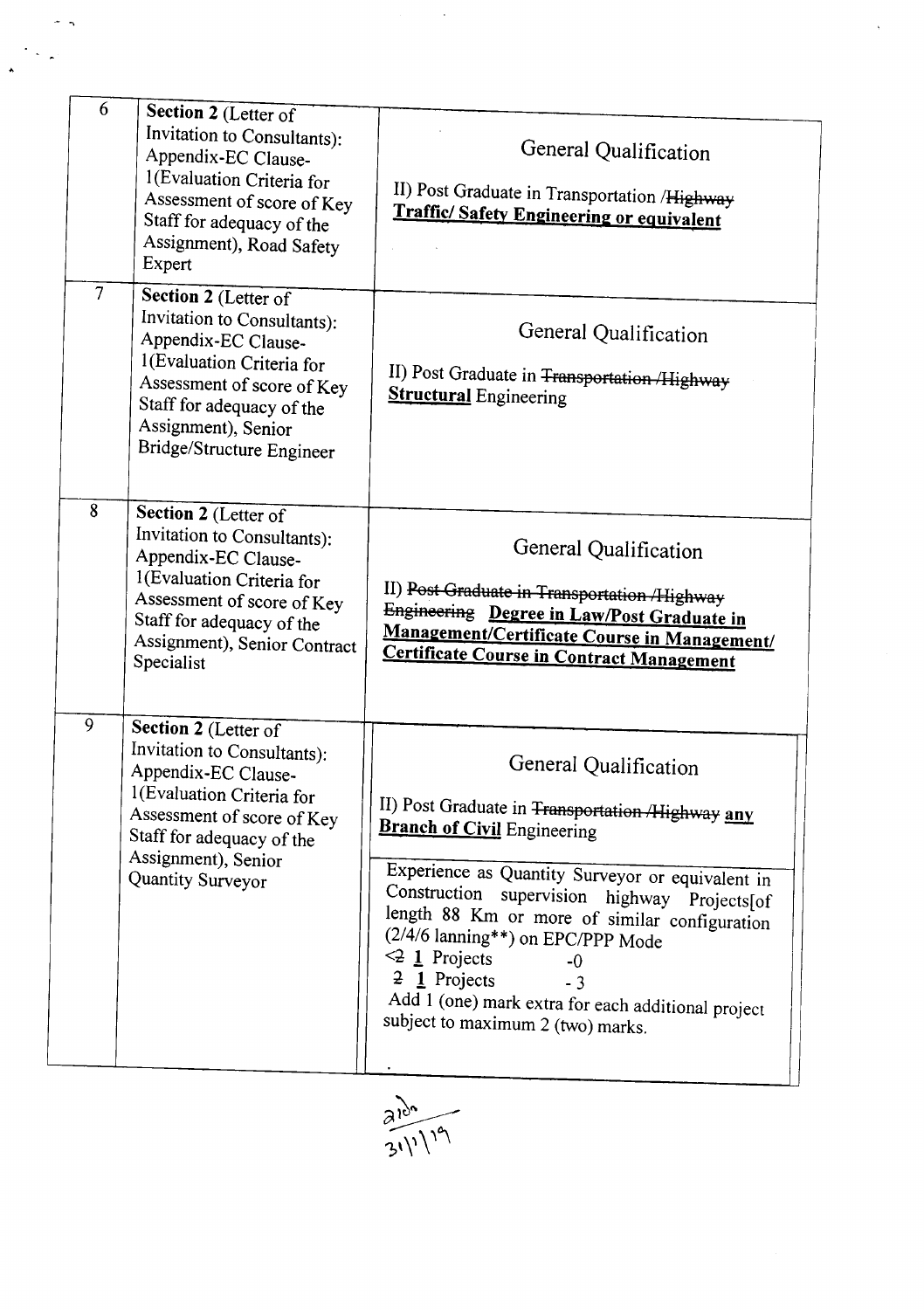| 6              | Section 2 (Letter of<br>Invitation to Consultants):<br>Appendix-EC Clause-<br>1(Evaluation Criteria for<br>Assessment of score of Key<br>Staff for adequacy of the<br>Assignment), Road Safety<br>Expert               | General Qualification<br>II) Post Graduate in Transportation /Highway<br><b>Traffic/Safety Engineering or equivalent</b>                                                                                                                                                                                                                                                                                                                                            |
|----------------|------------------------------------------------------------------------------------------------------------------------------------------------------------------------------------------------------------------------|---------------------------------------------------------------------------------------------------------------------------------------------------------------------------------------------------------------------------------------------------------------------------------------------------------------------------------------------------------------------------------------------------------------------------------------------------------------------|
| $\overline{7}$ | Section 2 (Letter of<br>Invitation to Consultants):<br>Appendix-EC Clause-<br>1(Evaluation Criteria for<br>Assessment of score of Key<br>Staff for adequacy of the<br>Assignment), Senior<br>Bridge/Structure Engineer | General Qualification<br>II) Post Graduate in <del>Transportation /Highway</del><br><b>Structural</b> Engineering                                                                                                                                                                                                                                                                                                                                                   |
| 8              | Section 2 (Letter of<br>Invitation to Consultants):<br>Appendix-EC Clause-<br>1(Evaluation Criteria for<br>Assessment of score of Key<br>Staff for adequacy of the<br>Assignment), Senior Contract<br>Specialist       | General Qualification<br>II) Post Graduate in Transportation /Highway<br>Engineering Degree in Law/Post Graduate in<br>Management/Certificate Course in Management/<br><b>Certificate Course in Contract Management</b>                                                                                                                                                                                                                                             |
| 9              | Section 2 (Letter of<br>Invitation to Consultants):<br>Appendix-EC Clause-<br>1(Evaluation Criteria for<br>Assessment of score of Key<br>Staff for adequacy of the<br>Assignment), Senior<br>Quantity Surveyor         | General Qualification<br>II) Post Graduate in Transportation /Highway any<br><b>Branch of Civil Engineering</b><br>Experience as Quantity Surveyor or equivalent in<br>Construction supervision highway Projects[of<br>length 88 Km or more of similar configuration<br>(2/4/6 lanning**) on EPC/PPP Mode<br>$\leq$ 1 Projects<br>$-0$<br>$\frac{1}{2}$ Projects<br>$-3$<br>Add 1 (one) mark extra for each additional project<br>subject to maximum 2 (two) marks. |

 $\frac{2124}{31^{11/19}}$ 

.- -.